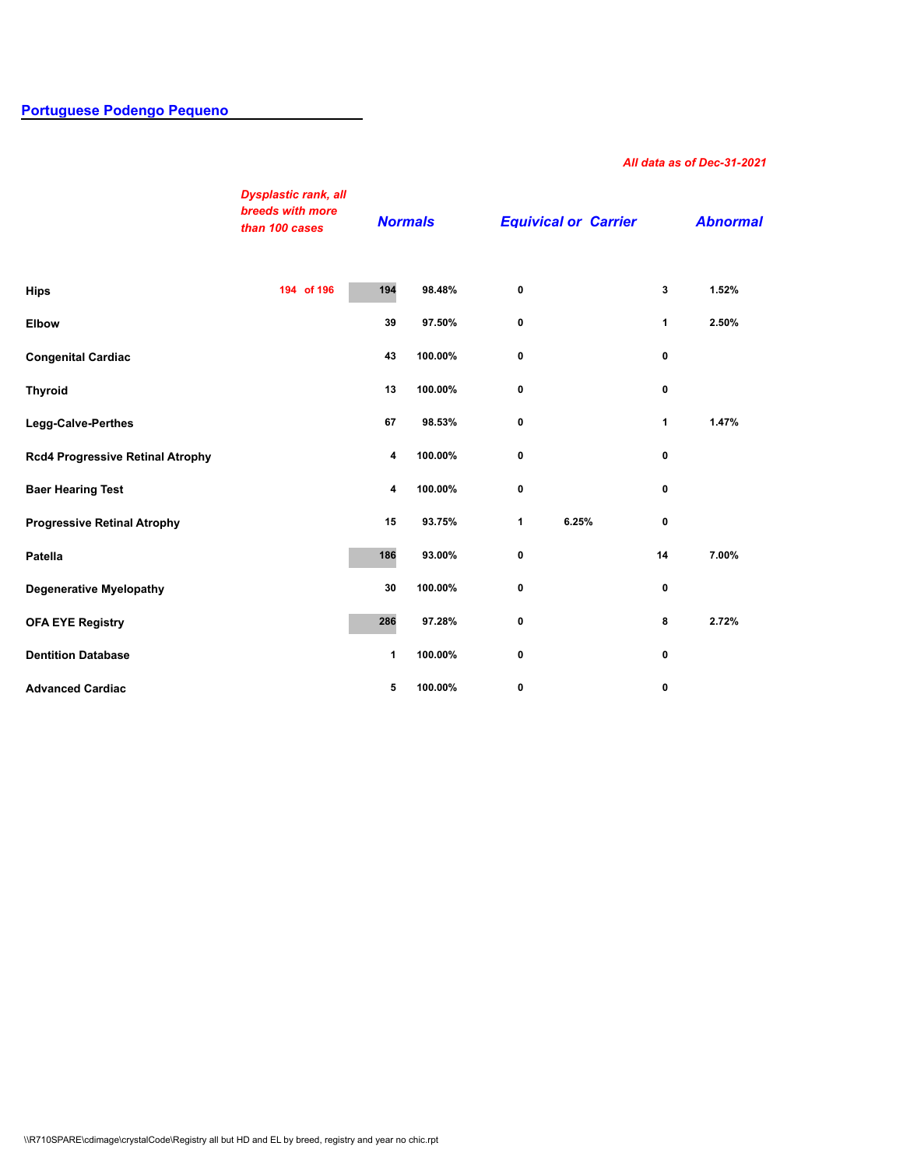## **[Portuguese Podengo Pequeno](http://secure.ofa.org/regsums/PPD31-dec-2018SUM.pdf)**

## *All data as of Dec-31-2021*

|                                         | <b>Dysplastic rank, all</b><br>breeds with more<br>than 100 cases | <b>Normals</b> |         | <b>Equivical or Carrier</b> |       |              | <b>Abnormal</b> |
|-----------------------------------------|-------------------------------------------------------------------|----------------|---------|-----------------------------|-------|--------------|-----------------|
| <b>Hips</b>                             | 194 of 196                                                        | 194            | 98.48%  | 0                           |       | 3            | 1.52%           |
| <b>Elbow</b>                            |                                                                   | 39             | 97.50%  | 0                           |       | 1            | 2.50%           |
| <b>Congenital Cardiac</b>               |                                                                   | 43             | 100.00% | 0                           |       | 0            |                 |
| <b>Thyroid</b>                          |                                                                   | 13             | 100.00% | 0                           |       | 0            |                 |
| Legg-Calve-Perthes                      |                                                                   | 67             | 98.53%  | 0                           |       | $\mathbf{1}$ | 1.47%           |
| <b>Rcd4 Progressive Retinal Atrophy</b> |                                                                   | 4              | 100.00% | 0                           |       | 0            |                 |
| <b>Baer Hearing Test</b>                |                                                                   | 4              | 100.00% | 0                           |       | 0            |                 |
| <b>Progressive Retinal Atrophy</b>      |                                                                   | 15             | 93.75%  | 1                           | 6.25% | 0            |                 |
| Patella                                 |                                                                   | 186            | 93.00%  | 0                           |       | 14           | 7.00%           |
| <b>Degenerative Myelopathy</b>          |                                                                   | 30             | 100.00% | 0                           |       | 0            |                 |
| <b>OFA EYE Registry</b>                 |                                                                   | 286            | 97.28%  | 0                           |       | 8            | 2.72%           |
| <b>Dentition Database</b>               |                                                                   | 1              | 100.00% | 0                           |       | 0            |                 |
| <b>Advanced Cardiac</b>                 |                                                                   | 5              | 100.00% | 0                           |       | 0            |                 |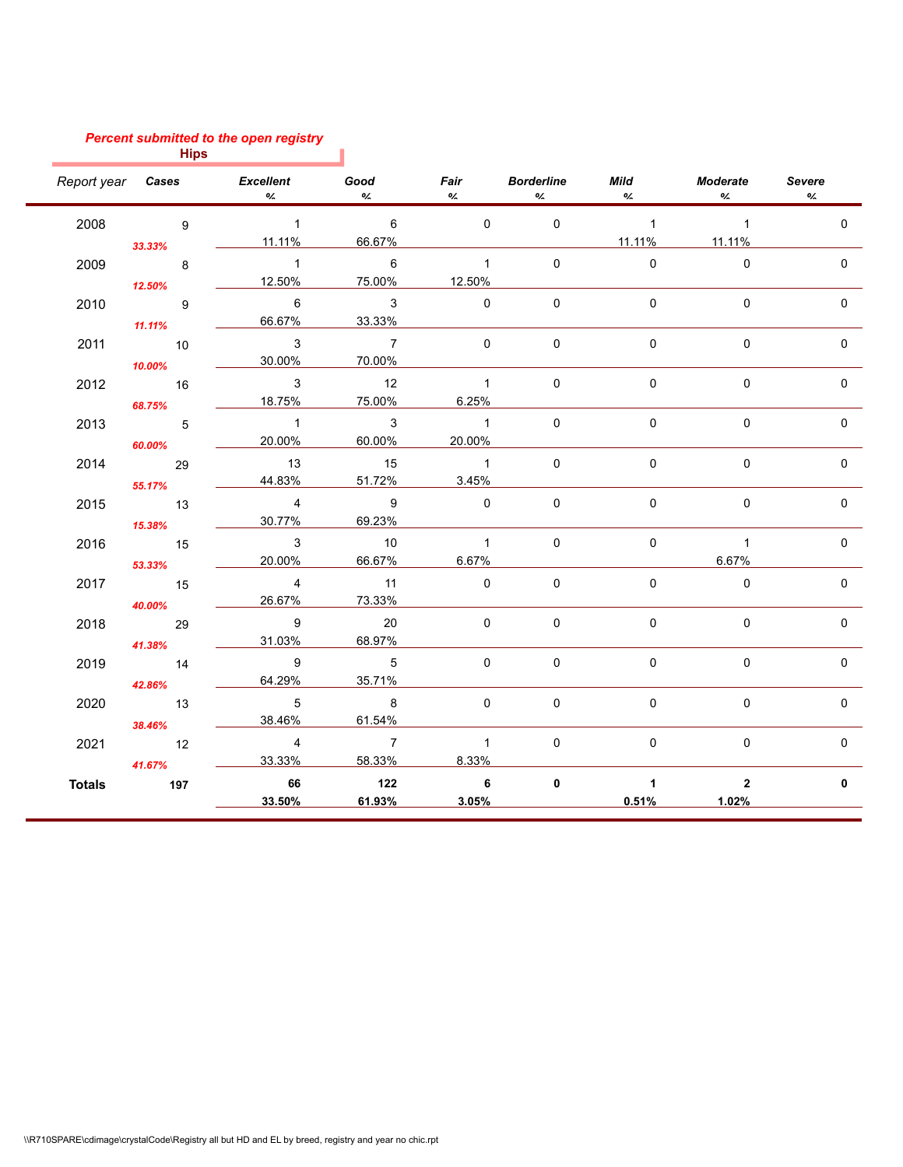## *Percent submitted to the open registry*

|               | <b>Hips</b>                |                                          |                                    |                                     |                   |                               |                          |                     |
|---------------|----------------------------|------------------------------------------|------------------------------------|-------------------------------------|-------------------|-------------------------------|--------------------------|---------------------|
|               |                            | Report year <b>Cases</b> Excellent<br>0/ | Good<br>$O_{\angle}$               | <b>Fair</b> Borderline<br>O/        | $O_{\mathcal{L}}$ | <b>Mild</b><br>$O_{\angle}$   | Moderate<br>$O_{\angle}$ | <b>Severe</b><br>O/ |
| 2008          | 9                          | $\sim$ 1                                 | 6                                  | $\Omega$                            | $\mathbf 0$       | $\sim$ 1                      | $\overline{1}$           | $\Omega$            |
|               | 33.33%                     | 11.11%                                   | 66.67%                             |                                     |                   | 11.11%                        | 11.11%                   |                     |
| 2009          | 8<br>12.50%                | $\overline{\phantom{a}}$ 1<br>12.50%     | $\overline{6}$<br>75.00%           | $\overline{1}$<br>12.50%            | $\Omega$          | $\Omega$                      | $\Omega$                 | $\Omega$            |
| 2010          | 9<br>11.11%                | $6\phantom{1}$<br>66.67%                 | $\overline{\mathbf{3}}$<br>33.33%  | $\Omega$                            | $\Omega$          | $\Omega$                      | $\Omega$                 | $\Omega$            |
| 2011          | $\overline{10}$<br>10.00%  | 3<br>30.00%                              | $\overline{7}$<br>70.00%           | $\Omega$                            | $\Omega$          | $\mathbf 0$                   | $\mathbf 0$              | $\mathbf 0$         |
| 2012          | $\overline{16}$            | 3<br>18.75%                              | $\overline{12}$<br>75.00%          | $\overline{1}$<br>6.25%             | $\mathbf 0$       | $\mathbf 0$                   | $\mathbf 0$              | 0                   |
| 2013          | 68.75%<br>$\overline{5}$   | $\sim$ 1<br>20.00%                       | $\overline{\mathbf{3}}$<br>60.00%  | $\overline{1}$<br>20.00%            | $\mathbf 0$       | $\mathbf 0$                   | $\mathbf 0$              | $\Omega$            |
| 2014          | 60.00%<br>29               | 13<br>44.83%                             | 15<br>51.72%                       | $\overline{1}$<br>3.45%             | $\mathbf 0$       | $\mathbf 0$                   | $\mathbf 0$              | $\mathbf{0}$        |
| 2015          | 55.17%<br>$\overline{13}$  | $\overline{4}$<br>30.77%                 | $\overline{9}$<br>69.23%           | $\mathbf 0$                         | $\Omega$          | $\mathbf 0$                   | $\mathbf 0$              | $\mathbf 0$         |
| 2016          | 15.38%<br>$\overline{15}$  | $\overline{\phantom{a}}$ 3<br>20.00%     | 10<br>66.67%                       | $\overline{1}$<br>6.67%             | $\mathbf 0$       | $\mathbf 0$                   | $\overline{1}$<br>6.67%  | $\mathbf 0$         |
| 2017          | 53.33%<br>$\overline{15}$  | $\overline{4}$<br>26.67%                 | 11<br>73.33%                       | $\Omega$                            | $\mathbf 0$       | $\mathbf 0$                   | $\Omega$                 | $\mathbf{0}$        |
| 2018          | 40.00%<br>29               | 9<br>31.03%                              | 20<br>68.97%                       | $\Omega$                            | $\mathbf{0}$      | $\mathbf 0$                   | $\Omega$                 | $\mathbf{0}$        |
| 2019          | 41.38%<br>$\overline{14}$  | 9<br>64.29%                              | $\overline{5}$<br>35.71%           | $\Omega$                            | $\mathbf 0$       | $\mathbf 0$                   | $\mathbf 0$              | $\mathbf{0}$        |
| 2020          | 42.86%<br>$\overline{13}$  | $\overline{5}$<br>38.46%                 | $\overline{\phantom{a}}$<br>61.54% | $\mathbf 0$                         | $\mathbf 0$       | $\mathbf 0$                   | $\mathsf{O}\xspace$      | $\mathbf 0$         |
| 2021          | 38.46%<br>$\overline{12}$  | $\overline{4}$<br>33.33%                 | $\overline{7}$<br>58.33%           | $\overline{1}$<br>8.33%             | $\Omega$          | $\Omega$                      | $\Omega$                 | $\Omega$            |
| <b>Totals</b> | 41.67%<br>$\overline{197}$ | 66<br>33.50%                             | 122<br>61.93%                      | $\overline{\phantom{a}}$ 6<br>3.05% | $\mathbf 0$       | $\blacktriangleleft$<br>0.51% | $\overline{2}$<br>1.02%  | 0                   |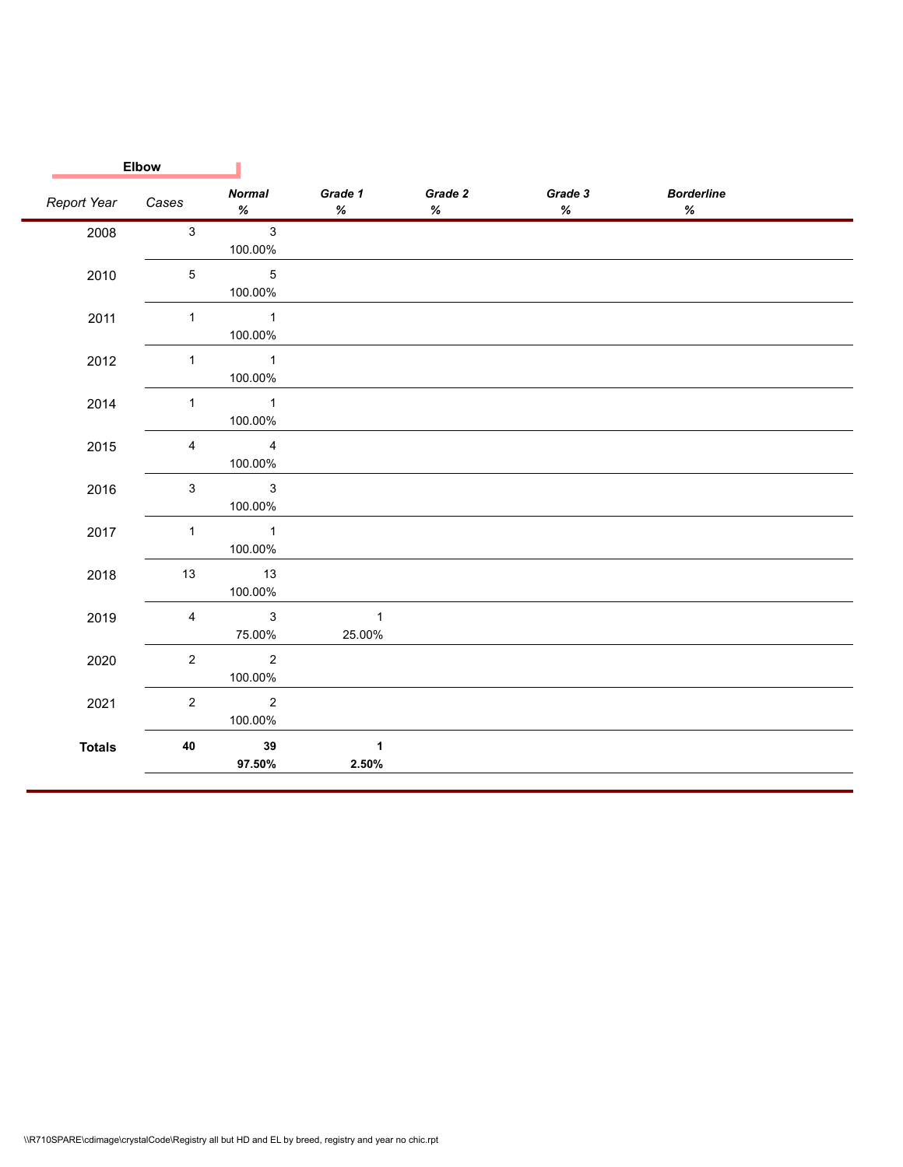|               | <b>Elbow</b>   |                                                                                                                                                                                                                                                                                                                                                                                                                                                                                                                                                                                                                                                                                                       |                                                                                                                                                                                                                                                                                                                                                                                                                                                                                                                                                                                                                                                                                                 |                                                                                                                                                                                                                                                                                                                                                                                                                                                                                                                                                                                                                                                                                                 |              |                                                                                                                                                                                                                                                                                                                                                                                                                                                                                                                                                                                                                                                                                                           |  |
|---------------|----------------|-------------------------------------------------------------------------------------------------------------------------------------------------------------------------------------------------------------------------------------------------------------------------------------------------------------------------------------------------------------------------------------------------------------------------------------------------------------------------------------------------------------------------------------------------------------------------------------------------------------------------------------------------------------------------------------------------------|-------------------------------------------------------------------------------------------------------------------------------------------------------------------------------------------------------------------------------------------------------------------------------------------------------------------------------------------------------------------------------------------------------------------------------------------------------------------------------------------------------------------------------------------------------------------------------------------------------------------------------------------------------------------------------------------------|-------------------------------------------------------------------------------------------------------------------------------------------------------------------------------------------------------------------------------------------------------------------------------------------------------------------------------------------------------------------------------------------------------------------------------------------------------------------------------------------------------------------------------------------------------------------------------------------------------------------------------------------------------------------------------------------------|--------------|-----------------------------------------------------------------------------------------------------------------------------------------------------------------------------------------------------------------------------------------------------------------------------------------------------------------------------------------------------------------------------------------------------------------------------------------------------------------------------------------------------------------------------------------------------------------------------------------------------------------------------------------------------------------------------------------------------------|--|
| Report Year   | Cases          | <b>Normal</b><br>$% \mathcal{B} \rightarrow \mathcal{B} \rightarrow \mathcal{B} \rightarrow \mathcal{B} \rightarrow \mathcal{B} \rightarrow \mathcal{B} \rightarrow \mathcal{B} \rightarrow \mathcal{B} \rightarrow \mathcal{B} \rightarrow \mathcal{B} \rightarrow \mathcal{B} \rightarrow \mathcal{B} \rightarrow \mathcal{B} \rightarrow \mathcal{B} \rightarrow \mathcal{B} \rightarrow \mathcal{B} \rightarrow \mathcal{B} \rightarrow \mathcal{B} \rightarrow \mathcal{B} \rightarrow \mathcal{B} \rightarrow \mathcal{B} \rightarrow \mathcal{B} \rightarrow \mathcal{B} \rightarrow \mathcal{B} \rightarrow \mathcal{B} \rightarrow \mathcal{B} \rightarrow \mathcal{B} \rightarrow \mathcal$ | Grade 1<br>$% \mathcal{B} \rightarrow \mathcal{B} \rightarrow \mathcal{B} \rightarrow \mathcal{B} \rightarrow \mathcal{B} \rightarrow \mathcal{B} \rightarrow \mathcal{B} \rightarrow \mathcal{B} \rightarrow \mathcal{B} \rightarrow \mathcal{B} \rightarrow \mathcal{B} \rightarrow \mathcal{B} \rightarrow \mathcal{B} \rightarrow \mathcal{B} \rightarrow \mathcal{B} \rightarrow \mathcal{B} \rightarrow \mathcal{B} \rightarrow \mathcal{B} \rightarrow \mathcal{B} \rightarrow \mathcal{B} \rightarrow \mathcal{B} \rightarrow \mathcal{B} \rightarrow \mathcal{B} \rightarrow \mathcal{B} \rightarrow \mathcal{B} \rightarrow \mathcal{B} \rightarrow \mathcal{B} \rightarrow \mathcal$ | Grade 2<br>$% \mathcal{B} \rightarrow \mathcal{B} \rightarrow \mathcal{B} \rightarrow \mathcal{B} \rightarrow \mathcal{B} \rightarrow \mathcal{B} \rightarrow \mathcal{B} \rightarrow \mathcal{B} \rightarrow \mathcal{B} \rightarrow \mathcal{B} \rightarrow \mathcal{B} \rightarrow \mathcal{B} \rightarrow \mathcal{B} \rightarrow \mathcal{B} \rightarrow \mathcal{B} \rightarrow \mathcal{B} \rightarrow \mathcal{B} \rightarrow \mathcal{B} \rightarrow \mathcal{B} \rightarrow \mathcal{B} \rightarrow \mathcal{B} \rightarrow \mathcal{B} \rightarrow \mathcal{B} \rightarrow \mathcal{B} \rightarrow \mathcal{B} \rightarrow \mathcal{B} \rightarrow \mathcal{B} \rightarrow \mathcal$ | Grade 3<br>% | <b>Borderline</b><br>$% \mathcal{B} \rightarrow \mathcal{B} \rightarrow \mathcal{B} \rightarrow \mathcal{B} \rightarrow \mathcal{B} \rightarrow \mathcal{B} \rightarrow \mathcal{B} \rightarrow \mathcal{B} \rightarrow \mathcal{B} \rightarrow \mathcal{B} \rightarrow \mathcal{B} \rightarrow \mathcal{B} \rightarrow \mathcal{B} \rightarrow \mathcal{B} \rightarrow \mathcal{B} \rightarrow \mathcal{B} \rightarrow \mathcal{B} \rightarrow \mathcal{B} \rightarrow \mathcal{B} \rightarrow \mathcal{B} \rightarrow \mathcal{B} \rightarrow \mathcal{B} \rightarrow \mathcal{B} \rightarrow \mathcal{B} \rightarrow \mathcal{B} \rightarrow \mathcal{B} \rightarrow \mathcal{B} \rightarrow \mathcal$ |  |
| 2008          | $\mathbf{3}$   | $\mathbf{3}$<br>100.00%                                                                                                                                                                                                                                                                                                                                                                                                                                                                                                                                                                                                                                                                               |                                                                                                                                                                                                                                                                                                                                                                                                                                                                                                                                                                                                                                                                                                 |                                                                                                                                                                                                                                                                                                                                                                                                                                                                                                                                                                                                                                                                                                 |              |                                                                                                                                                                                                                                                                                                                                                                                                                                                                                                                                                                                                                                                                                                           |  |
| 2010          | $\sqrt{5}$     | $\overline{5}$<br>100.00%                                                                                                                                                                                                                                                                                                                                                                                                                                                                                                                                                                                                                                                                             |                                                                                                                                                                                                                                                                                                                                                                                                                                                                                                                                                                                                                                                                                                 |                                                                                                                                                                                                                                                                                                                                                                                                                                                                                                                                                                                                                                                                                                 |              |                                                                                                                                                                                                                                                                                                                                                                                                                                                                                                                                                                                                                                                                                                           |  |
| 2011          | $\mathbf{1}$   | $\overline{\phantom{a}}$<br>100.00%                                                                                                                                                                                                                                                                                                                                                                                                                                                                                                                                                                                                                                                                   |                                                                                                                                                                                                                                                                                                                                                                                                                                                                                                                                                                                                                                                                                                 |                                                                                                                                                                                                                                                                                                                                                                                                                                                                                                                                                                                                                                                                                                 |              |                                                                                                                                                                                                                                                                                                                                                                                                                                                                                                                                                                                                                                                                                                           |  |
| 2012          | $\mathbf{1}$   | $\overline{1}$<br>100.00%                                                                                                                                                                                                                                                                                                                                                                                                                                                                                                                                                                                                                                                                             |                                                                                                                                                                                                                                                                                                                                                                                                                                                                                                                                                                                                                                                                                                 |                                                                                                                                                                                                                                                                                                                                                                                                                                                                                                                                                                                                                                                                                                 |              |                                                                                                                                                                                                                                                                                                                                                                                                                                                                                                                                                                                                                                                                                                           |  |
| 2014          | $\mathbf{1}$   | $\overline{\phantom{a}}$ 1<br>100.00%                                                                                                                                                                                                                                                                                                                                                                                                                                                                                                                                                                                                                                                                 |                                                                                                                                                                                                                                                                                                                                                                                                                                                                                                                                                                                                                                                                                                 |                                                                                                                                                                                                                                                                                                                                                                                                                                                                                                                                                                                                                                                                                                 |              |                                                                                                                                                                                                                                                                                                                                                                                                                                                                                                                                                                                                                                                                                                           |  |
| 2015          | $\overline{4}$ | $\overline{4}$<br>100.00%                                                                                                                                                                                                                                                                                                                                                                                                                                                                                                                                                                                                                                                                             |                                                                                                                                                                                                                                                                                                                                                                                                                                                                                                                                                                                                                                                                                                 |                                                                                                                                                                                                                                                                                                                                                                                                                                                                                                                                                                                                                                                                                                 |              |                                                                                                                                                                                                                                                                                                                                                                                                                                                                                                                                                                                                                                                                                                           |  |
| 2016          | $\mathbf{3}$   | $\mathbf{3}$<br>100.00%                                                                                                                                                                                                                                                                                                                                                                                                                                                                                                                                                                                                                                                                               |                                                                                                                                                                                                                                                                                                                                                                                                                                                                                                                                                                                                                                                                                                 |                                                                                                                                                                                                                                                                                                                                                                                                                                                                                                                                                                                                                                                                                                 |              |                                                                                                                                                                                                                                                                                                                                                                                                                                                                                                                                                                                                                                                                                                           |  |
| 2017          | $\mathbf{1}$   | $\sim$ 1<br>100.00%                                                                                                                                                                                                                                                                                                                                                                                                                                                                                                                                                                                                                                                                                   |                                                                                                                                                                                                                                                                                                                                                                                                                                                                                                                                                                                                                                                                                                 |                                                                                                                                                                                                                                                                                                                                                                                                                                                                                                                                                                                                                                                                                                 |              |                                                                                                                                                                                                                                                                                                                                                                                                                                                                                                                                                                                                                                                                                                           |  |
| 2018          | 13             | 13<br>100.00%                                                                                                                                                                                                                                                                                                                                                                                                                                                                                                                                                                                                                                                                                         |                                                                                                                                                                                                                                                                                                                                                                                                                                                                                                                                                                                                                                                                                                 |                                                                                                                                                                                                                                                                                                                                                                                                                                                                                                                                                                                                                                                                                                 |              |                                                                                                                                                                                                                                                                                                                                                                                                                                                                                                                                                                                                                                                                                                           |  |
| 2019          | $\overline{4}$ | $\mathbf{3}$<br>75.00%                                                                                                                                                                                                                                                                                                                                                                                                                                                                                                                                                                                                                                                                                | $\mathbf{1}$<br>25.00%                                                                                                                                                                                                                                                                                                                                                                                                                                                                                                                                                                                                                                                                          |                                                                                                                                                                                                                                                                                                                                                                                                                                                                                                                                                                                                                                                                                                 |              |                                                                                                                                                                                                                                                                                                                                                                                                                                                                                                                                                                                                                                                                                                           |  |
| 2020          | $\overline{2}$ | $\overline{2}$<br>100.00%                                                                                                                                                                                                                                                                                                                                                                                                                                                                                                                                                                                                                                                                             |                                                                                                                                                                                                                                                                                                                                                                                                                                                                                                                                                                                                                                                                                                 |                                                                                                                                                                                                                                                                                                                                                                                                                                                                                                                                                                                                                                                                                                 |              |                                                                                                                                                                                                                                                                                                                                                                                                                                                                                                                                                                                                                                                                                                           |  |
| 2021          | $\overline{2}$ | $\overline{2}$<br>100.00%                                                                                                                                                                                                                                                                                                                                                                                                                                                                                                                                                                                                                                                                             |                                                                                                                                                                                                                                                                                                                                                                                                                                                                                                                                                                                                                                                                                                 |                                                                                                                                                                                                                                                                                                                                                                                                                                                                                                                                                                                                                                                                                                 |              |                                                                                                                                                                                                                                                                                                                                                                                                                                                                                                                                                                                                                                                                                                           |  |
| <b>Totals</b> | 40             | 39<br>97.50%                                                                                                                                                                                                                                                                                                                                                                                                                                                                                                                                                                                                                                                                                          | $\blacktriangleleft$<br>2.50%                                                                                                                                                                                                                                                                                                                                                                                                                                                                                                                                                                                                                                                                   |                                                                                                                                                                                                                                                                                                                                                                                                                                                                                                                                                                                                                                                                                                 |              |                                                                                                                                                                                                                                                                                                                                                                                                                                                                                                                                                                                                                                                                                                           |  |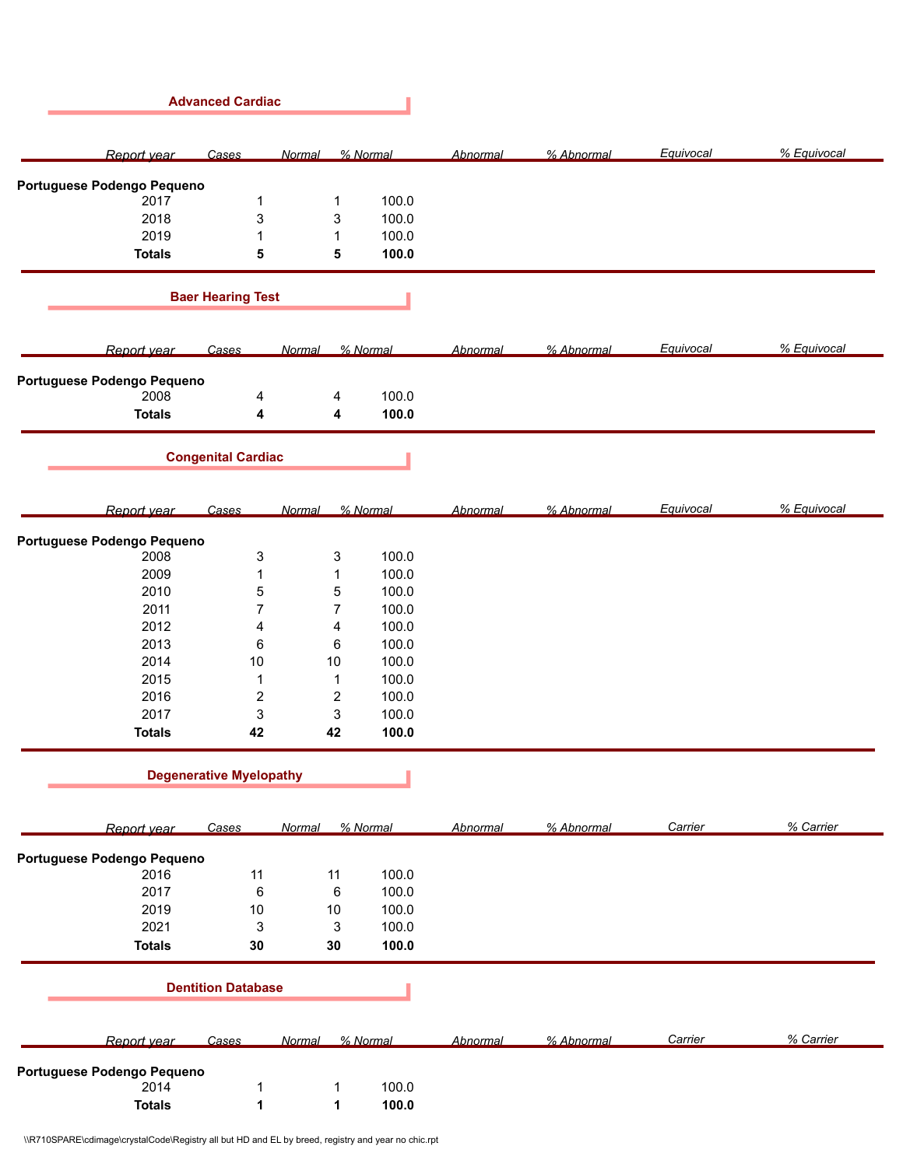|                                    | <b>Advanced Cardiac</b>        |                |          |                 |            |           |             |
|------------------------------------|--------------------------------|----------------|----------|-----------------|------------|-----------|-------------|
| Report year                        | Cases                          | Normal         | % Normal | Abnormal        | % Abnormal | Equivocal | % Equivocal |
| Portuguese Podengo Pequeno         |                                |                |          |                 |            |           |             |
| 2017                               | $\mathbf{1}$                   | $\mathbf{1}$   | 100.0    |                 |            |           |             |
| 2018                               | 3                              | 3              | 100.0    |                 |            |           |             |
| 2019                               | 1                              | $\mathbf{1}$   | 100.0    |                 |            |           |             |
| <b>Totals</b>                      | 5                              | 5              | 100.0    |                 |            |           |             |
|                                    |                                |                |          |                 |            |           |             |
|                                    | <b>Baer Hearing Test</b>       |                |          |                 |            |           |             |
| Report year                        | Cases                          | Normal         | % Normal | Abnormal        | % Abnormal | Equivocal | % Equivocal |
| Portuguese Podengo Pequeno         |                                |                |          |                 |            |           |             |
| 2008                               | 4                              | 4              | 100.0    |                 |            |           |             |
| <b>Totals</b>                      | 4                              | 4              | 100.0    |                 |            |           |             |
|                                    | <b>Congenital Cardiac</b>      |                |          |                 |            |           |             |
|                                    |                                |                |          |                 |            |           |             |
| Report year                        | Cases                          | Normal         | % Normal | Abnormal        | % Abnormal | Equivocal | % Equivocal |
| Portuguese Podengo Pequeno         |                                |                |          |                 |            |           |             |
| 2008                               | 3                              | 3              | 100.0    |                 |            |           |             |
| 2009                               | $\mathbf{1}$                   | $\mathbf{1}$   | 100.0    |                 |            |           |             |
| 2010                               | 5                              | $\mathbf 5$    | 100.0    |                 |            |           |             |
| 2011                               | $\overline{7}$                 | $\overline{7}$ | 100.0    |                 |            |           |             |
| 2012                               | 4                              | 4              | 100.0    |                 |            |           |             |
| 2013                               | 6                              | $\,6\,$        | 100.0    |                 |            |           |             |
| 2014                               | $10$                           | $10$           | 100.0    |                 |            |           |             |
| 2015                               | $\mathbf{1}$                   | $\mathbf{1}$   | 100.0    |                 |            |           |             |
| 2016                               | $\overline{c}$                 | $\sqrt{2}$     | 100.0    |                 |            |           |             |
| 2017                               | 3                              | 3              | 100.0    |                 |            |           |             |
| <b>Totals</b>                      | 42                             | 42             | 100.0    |                 |            |           |             |
|                                    | <b>Degenerative Myelopathy</b> |                |          |                 |            |           |             |
|                                    |                                |                |          |                 |            |           |             |
| Report year                        | <b>Cases</b>                   | Normal         | % Normal | <b>Abnormal</b> | % Abnormal | Carrier   | % Carrier   |
| Portuguese Podengo Pequeno<br>2016 | 11                             | 11             | 100.0    |                 |            |           |             |
| 2017                               | 6                              | $\,6\,$        | 100.0    |                 |            |           |             |
| 2019                               | $10\,$                         | $10\,$         | 100.0    |                 |            |           |             |
| 2021                               | 3                              | 3              | 100.0    |                 |            |           |             |
| <b>Totals</b>                      | 30                             | 30             | 100.0    |                 |            |           |             |
|                                    |                                |                |          |                 |            |           |             |
|                                    | <b>Dentition Database</b>      |                |          |                 |            |           |             |
| Report year                        | Cases                          | Normal         | % Normal | <b>Abnormal</b> | % Abnormal | Carrier   | % Carrier   |
| Portuguese Podengo Pequeno         |                                |                |          |                 |            |           |             |
| 2014                               | 1                              | 1              | 100.0    |                 |            |           |             |
| <b>Totals</b>                      | 1                              | 1              | 100.0    |                 |            |           |             |
|                                    |                                |                |          |                 |            |           |             |

\\R710SPARE\cdimage\crystalCode\Registry all but HD and EL by breed, registry and year no chic.rpt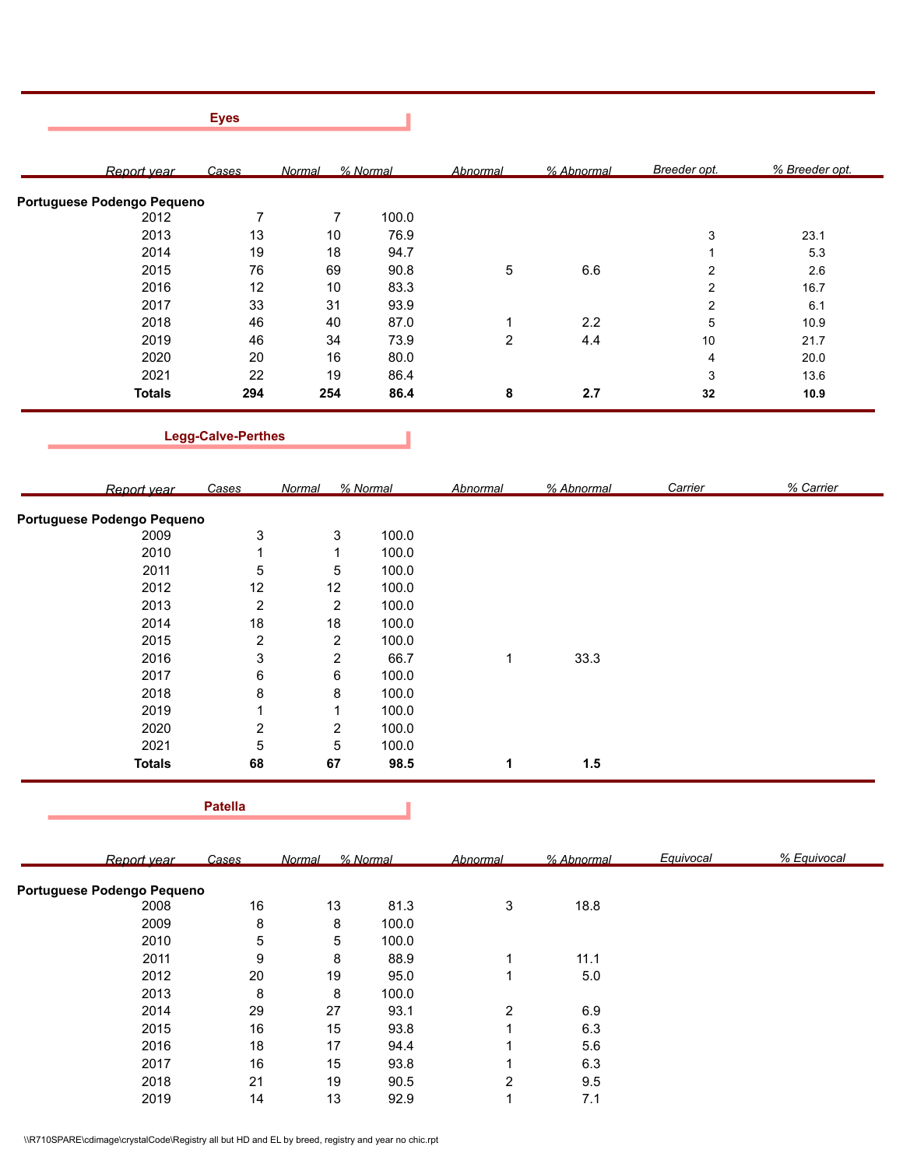|                            | <b>Eyes</b>               |                         |          |                         |            |                         |                |
|----------------------------|---------------------------|-------------------------|----------|-------------------------|------------|-------------------------|----------------|
|                            |                           |                         |          |                         |            |                         |                |
| Report year                | Cases                     | Normal                  | % Normal | <b>Abnormal</b>         | % Abnormal | Breeder opt.            | % Breeder opt. |
| Portuguese Podengo Pequeno |                           |                         |          |                         |            |                         |                |
| 2012                       | $\overline{7}$            | $\overline{7}$          | 100.0    |                         |            |                         |                |
| 2013                       | 13                        | 10                      | 76.9     |                         |            | 3                       | 23.1           |
| 2014                       | 19                        | 18                      | 94.7     |                         |            | 1                       | 5.3            |
| 2015                       | 76                        | 69                      | 90.8     | $\,$ 5 $\,$             | 6.6        | $\overline{\mathbf{c}}$ | 2.6            |
| 2016                       | 12                        | 10                      | 83.3     |                         |            | $\overline{\mathbf{c}}$ | 16.7           |
| 2017                       | 33                        | 31                      | 93.9     |                         |            | 2                       | 6.1            |
| 2018                       | 46                        | 40                      | 87.0     |                         | 2.2        |                         | 10.9           |
|                            |                           |                         |          | 1                       |            | 5                       |                |
| 2019                       | 46                        | 34                      | 73.9     | $\overline{c}$          | 4.4        | $10$                    | 21.7           |
| 2020                       | 20                        | 16                      | 80.0     |                         |            | 4                       | 20.0           |
| 2021                       | 22                        | 19                      | 86.4     |                         |            | 3                       | 13.6           |
| <b>Totals</b>              | 294                       | 254                     | 86.4     | 8                       | 2.7        | $32\,$                  | 10.9           |
|                            | <b>Legg-Calve-Perthes</b> |                         |          |                         |            |                         |                |
| Report year                | <b>Cases</b>              | Normal                  | % Normal | <b>Abnormal</b>         | % Abnormal | Carrier                 | % Carrier      |
|                            |                           |                         |          |                         |            |                         |                |
| Portuguese Podengo Pequeno |                           |                         |          |                         |            |                         |                |
| 2009                       | 3                         | 3                       | 100.0    |                         |            |                         |                |
| 2010                       | $\mathbf{1}$              | $\mathbf 1$             | 100.0    |                         |            |                         |                |
| 2011                       | 5                         | 5                       | 100.0    |                         |            |                         |                |
| 2012                       | 12                        | 12                      | 100.0    |                         |            |                         |                |
| 2013                       | $\boldsymbol{2}$          | $\overline{c}$          | 100.0    |                         |            |                         |                |
| 2014                       | $18$                      | $18$                    | 100.0    |                         |            |                         |                |
| 2015                       | $\overline{\mathbf{c}}$   | $\overline{\mathbf{c}}$ | 100.0    |                         |            |                         |                |
| 2016                       | 3                         | $\overline{c}$          | 66.7     | 1                       | 33.3       |                         |                |
| 2017                       | 6                         | 6                       | 100.0    |                         |            |                         |                |
| 2018                       | 8                         | 8                       | 100.0    |                         |            |                         |                |
| 2019                       |                           |                         |          |                         |            |                         |                |
|                            | 1                         | $\mathbf 1$             | 100.0    |                         |            |                         |                |
| 2020                       | $\overline{c}$            | $\overline{c}$          | 100.0    |                         |            |                         |                |
| 2021                       | 5                         | 5                       | 100.0    |                         |            |                         |                |
| <b>Totals</b>              | 68                        | 67                      | 98.5     | $\mathbf 1$             | 1.5        |                         |                |
|                            | <b>Patella</b>            |                         |          |                         |            |                         |                |
| Report year                | Cases                     | Normal                  | % Normal | <b>Abnormal</b>         | % Abnormal | Equivocal               | % Equivocal    |
| Portuguese Podengo Pequeno |                           |                         |          |                         |            |                         |                |
| 2008                       | $16\,$                    | $13$                    | 81.3     | 3                       | 18.8       |                         |                |
|                            |                           |                         |          |                         |            |                         |                |
| 2009                       | 8                         | 8                       | 100.0    |                         |            |                         |                |
| 2010                       | 5                         | 5                       | 100.0    |                         |            |                         |                |
| 2011                       | 9                         | 8                       | 88.9     | 1                       | 11.1       |                         |                |
| 2012                       | $20\,$                    | 19                      | 95.0     | $\mathbf 1$             | $5.0\,$    |                         |                |
| 2013                       | 8                         | $\bf 8$                 | 100.0    |                         |            |                         |                |
| 2014                       | 29                        | 27                      | 93.1     | $\overline{c}$          | $6.9\,$    |                         |                |
| 2015                       | $16\,$                    | $15\,$                  | 93.8     | 1                       | 6.3        |                         |                |
| 2016                       | 18                        | $17$                    | 94.4     | 1                       | $5.6\,$    |                         |                |
| 2017                       | 16                        | $15$                    | 93.8     | 1                       | $6.3\,$    |                         |                |
|                            |                           |                         |          |                         |            |                         |                |
| 2018                       | 21                        | $19$                    | 90.5     | $\overline{\mathbf{c}}$ | 9.5        |                         |                |
| 2019                       | 14                        | $13$                    | 92.9     | $\mathbf{1}$            | 7.1        |                         |                |